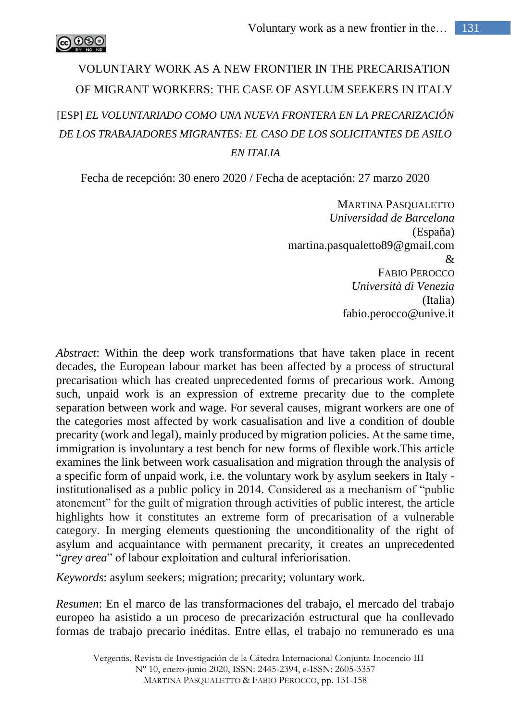

# VOLUNTARY WORK AS A NEW FRONTIER IN THE PRECARISATION OF MIGRANT WORKERS: THE CASE OF ASYLUM SEEKERS IN ITALY [ESP] *EL VOLUNTARIADO COMO UNA NUEVA FRONTERA EN LA PRECARIZACIÓN DE LOS TRABAJADORES MIGRANTES: EL CASO DE LOS SOLICITANTES DE ASILO EN ITALIA*

Fecha de recepción: 30 enero 2020 / Fecha de aceptación: 27 marzo 2020

MARTINA PASQUALETTO *Universidad de Barcelona* (España) martina.pasqualetto89@gmail.com & FABIO PEROCCO *Università di Venezia* (Italia) fabio.perocco@unive.it

*Abstract*: Within the deep work transformations that have taken place in recent decades, the European labour market has been affected by a process of structural precarisation which has created unprecedented forms of precarious work. Among such, unpaid work is an expression of extreme precarity due to the complete separation between work and wage. For several causes, migrant workers are one of the categories most affected by work casualisation and live a condition of double precarity (work and legal), mainly produced by migration policies. At the same time, immigration is involuntary a test bench for new forms of flexible work.This article examines the link between work casualisation and migration through the analysis of a specific form of unpaid work, i.e. the voluntary work by asylum seekers in Italy institutionalised as a public policy in 2014. Considered as a mechanism of "public atonement" for the guilt of migration through activities of public interest, the article highlights how it constitutes an extreme form of precarisation of a vulnerable category. In merging elements questioning the unconditionality of the right of asylum and acquaintance with permanent precarity, it creates an unprecedented "*grey area*" of labour exploitation and cultural inferiorisation.

*Keywords*: asylum seekers; migration; precarity; voluntary work.

*Resumen*: En el marco de las transformaciones del trabajo, el mercado del trabajo europeo ha asistido a un proceso de precarización estructural que ha conllevado formas de trabajo precario inéditas. Entre ellas, el trabajo no remunerado es una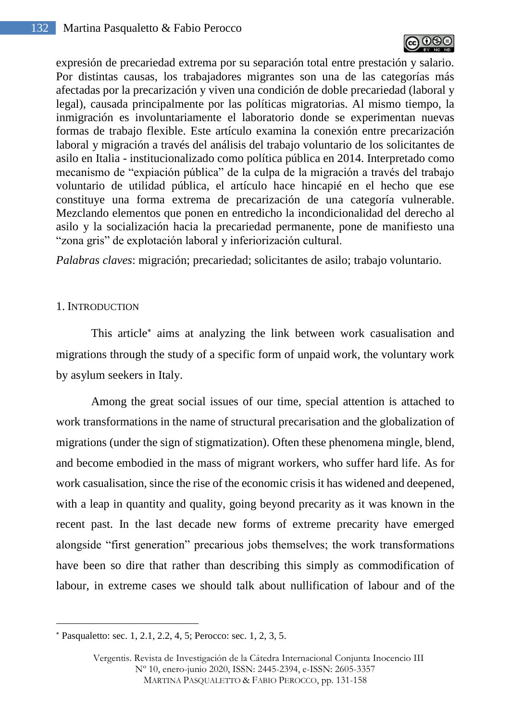

expresión de precariedad extrema por su separación total entre prestación y salario. Por distintas causas, los trabajadores migrantes son una de las categorías más afectadas por la precarización y viven una condición de doble precariedad (laboral y legal), causada principalmente por las políticas migratorias. Al mismo tiempo, la inmigración es involuntariamente el laboratorio donde se experimentan nuevas formas de trabajo flexible. Este artículo examina la conexión entre precarización laboral y migración a través del análisis del trabajo voluntario de los solicitantes de asilo en Italia - institucionalizado como política pública en 2014. Interpretado como mecanismo de "expiación pública" de la culpa de la migración a través del trabajo voluntario de utilidad pública, el artículo hace hincapié en el hecho que ese constituye una forma extrema de precarización de una categoría vulnerable. Mezclando elementos que ponen en entredicho la incondicionalidad del derecho al asilo y la socialización hacia la precariedad permanente, pone de manifiesto una "zona gris" de explotación laboral y inferiorización cultural.

*Palabras claves*: migración; precariedad; solicitantes de asilo; trabajo voluntario.

# 1. INTRODUCTION

 $\overline{a}$ 

This article<sup>\*</sup> aims at analyzing the link between work casualisation and migrations through the study of a specific form of unpaid work, the voluntary work by asylum seekers in Italy.

Among the great social issues of our time, special attention is attached to work transformations in the name of structural precarisation and the globalization of migrations (under the sign of stigmatization). Often these phenomena mingle, blend, and become embodied in the mass of migrant workers, who suffer hard life. As for work casualisation, since the rise of the economic crisis it has widened and deepened, with a leap in quantity and quality, going beyond precarity as it was known in the recent past. In the last decade new forms of extreme precarity have emerged alongside "first generation" precarious jobs themselves; the work transformations have been so dire that rather than describing this simply as commodification of labour, in extreme cases we should talk about nullification of labour and of the

Pasqualetto: sec. 1, 2.1, 2.2, 4, 5; Perocco: sec. 1, 2, 3, 5.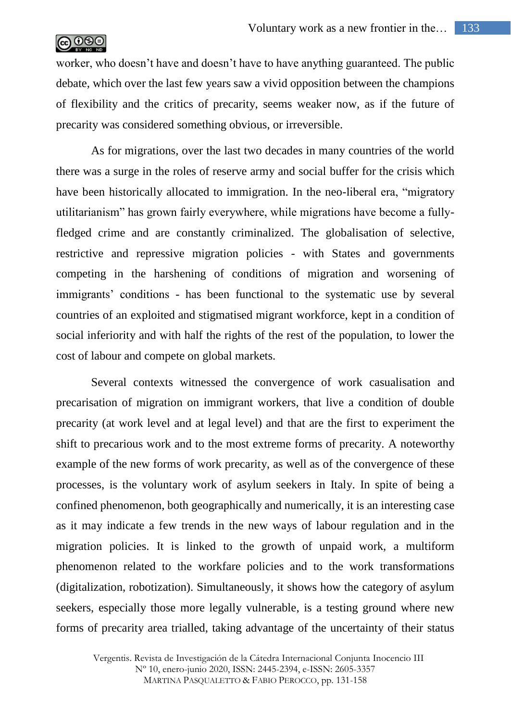

worker, who doesn't have and doesn't have to have anything guaranteed. The public debate, which over the last few years saw a vivid opposition between the champions of flexibility and the critics of precarity, seems weaker now, as if the future of precarity was considered something obvious, or irreversible.

As for migrations, over the last two decades in many countries of the world there was a surge in the roles of reserve army and social buffer for the crisis which have been historically allocated to immigration. In the neo-liberal era, "migratory utilitarianism" has grown fairly everywhere, while migrations have become a fullyfledged crime and are constantly criminalized. The globalisation of selective, restrictive and repressive migration policies - with States and governments competing in the harshening of conditions of migration and worsening of immigrants' conditions - has been functional to the systematic use by several countries of an exploited and stigmatised migrant workforce, kept in a condition of social inferiority and with half the rights of the rest of the population, to lower the cost of labour and compete on global markets.

Several contexts witnessed the convergence of work casualisation and precarisation of migration on immigrant workers, that live a condition of double precarity (at work level and at legal level) and that are the first to experiment the shift to precarious work and to the most extreme forms of precarity. A noteworthy example of the new forms of work precarity, as well as of the convergence of these processes, is the voluntary work of asylum seekers in Italy. In spite of being a confined phenomenon, both geographically and numerically, it is an interesting case as it may indicate a few trends in the new ways of labour regulation and in the migration policies. It is linked to the growth of unpaid work, a multiform phenomenon related to the workfare policies and to the work transformations (digitalization, robotization). Simultaneously, it shows how the category of asylum seekers, especially those more legally vulnerable, is a testing ground where new forms of precarity area trialled, taking advantage of the uncertainty of their status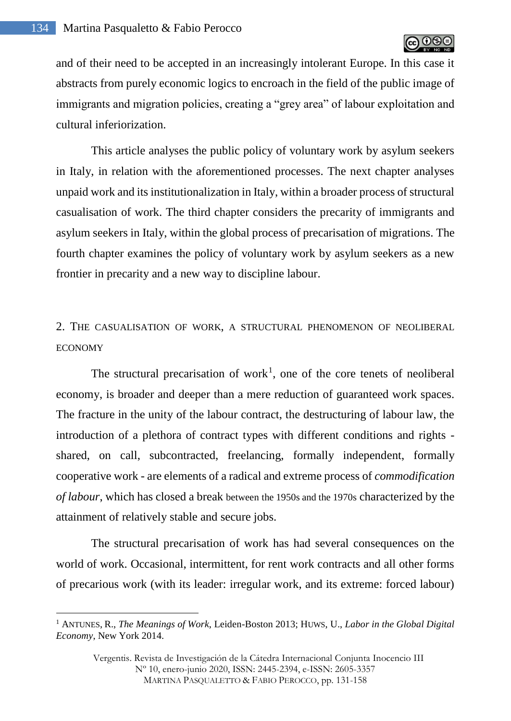and of their need to be accepted in an increasingly intolerant Europe. In this case it abstracts from purely economic logics to encroach in the field of the public image of immigrants and migration policies, creating a "grey area" of labour exploitation and cultural inferiorization.

This article analyses the public policy of voluntary work by asylum seekers in Italy, in relation with the aforementioned processes. The next chapter analyses unpaid work and its institutionalization in Italy, within a broader process of structural casualisation of work. The third chapter considers the precarity of immigrants and asylum seekers in Italy, within the global process of precarisation of migrations. The fourth chapter examines the policy of voluntary work by asylum seekers as a new frontier in precarity and a new way to discipline labour.

2. THE CASUALISATION OF WORK, A STRUCTURAL PHENOMENON OF NEOLIBERAL ECONOMY

The structural precarisation of work<sup>1</sup>, one of the core tenets of neoliberal economy, is broader and deeper than a mere reduction of guaranteed work spaces. The fracture in the unity of the labour contract, the destructuring of labour law, the introduction of a plethora of contract types with different conditions and rights shared, on call, subcontracted, freelancing, formally independent, formally cooperative work - are elements of a radical and extreme process of *commodification of labour*, which has closed a break between the 1950s and the 1970s characterized by the attainment of relatively stable and secure jobs.

The structural precarisation of work has had several consequences on the world of work. Occasional, intermittent, for rent work contracts and all other forms of precarious work (with its leader: irregular work, and its extreme: forced labour)

<sup>1</sup> ANTUNES, R., *The Meanings of Work*, Leiden-Boston 2013; HUWS, U., *Labor in the Global Digital Economy*, New York 2014.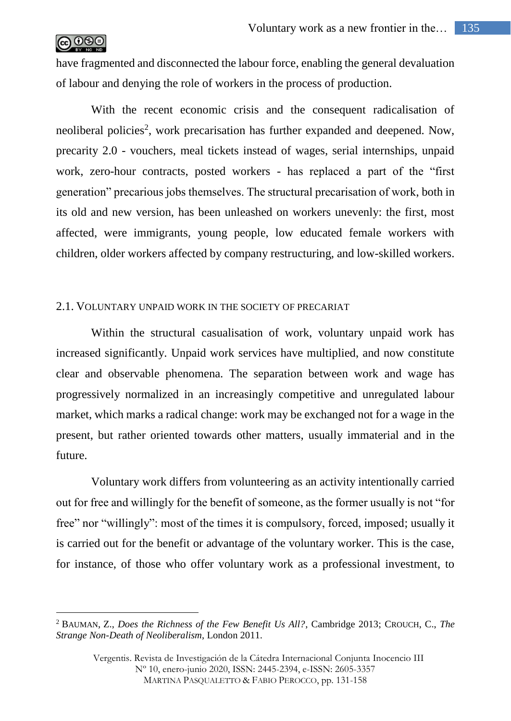

have fragmented and disconnected the labour force, enabling the general devaluation of labour and denying the role of workers in the process of production.

With the recent economic crisis and the consequent radicalisation of neoliberal policies<sup>2</sup>, work precarisation has further expanded and deepened. Now, precarity 2.0 - vouchers, meal tickets instead of wages, serial internships, unpaid work, zero-hour contracts, posted workers - has replaced a part of the "first generation" precarious jobs themselves. The structural precarisation of work, both in its old and new version, has been unleashed on workers unevenly: the first, most affected, were immigrants, young people, low educated female workers with children, older workers affected by company restructuring, and low-skilled workers.

# 2.1. VOLUNTARY UNPAID WORK IN THE SOCIETY OF PRECARIAT

Within the structural casualisation of work, voluntary unpaid work has increased significantly. Unpaid work services have multiplied, and now constitute clear and observable phenomena. The separation between work and wage has progressively normalized in an increasingly competitive and unregulated labour market, which marks a radical change: work may be exchanged not for a wage in the present, but rather oriented towards other matters, usually immaterial and in the future.

Voluntary work differs from volunteering as an activity intentionally carried out for free and willingly for the benefit of someone, as the former usually is not "for free" nor "willingly": most of the times it is compulsory, forced, imposed; usually it is carried out for the benefit or advantage of the voluntary worker. This is the case, for instance, of those who offer voluntary work as a professional investment, to

<sup>2</sup> BAUMAN, Z., *Does the Richness of the Few Benefit Us All?*, Cambridge 2013; CROUCH, C., *The Strange Non-Death of Neoliberalism*, London 2011.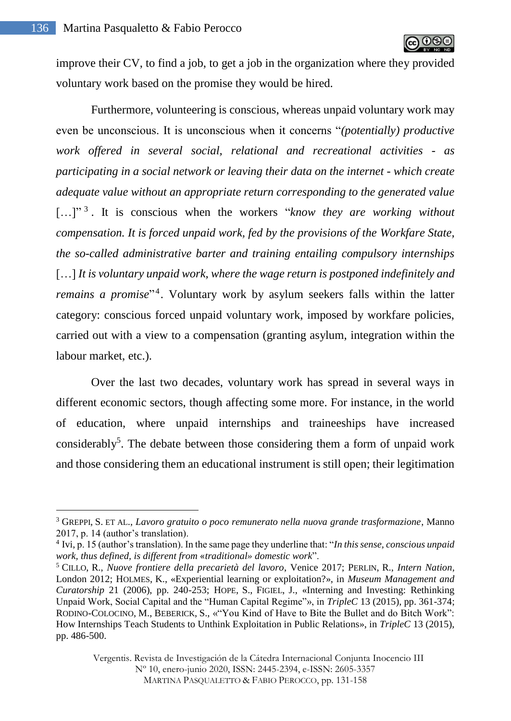improve their CV, to find a job, to get a job in the organization where they provided voluntary work based on the promise they would be hired.

Furthermore, volunteering is conscious, whereas unpaid voluntary work may even be unconscious. It is unconscious when it concerns "*(potentially) productive work offered in several social, relational and recreational activities - as participating in a social network or leaving their data on the internet - which create adequate value without an appropriate return corresponding to the generated value*  [...]"<sup>3</sup>. It is conscious when the workers "*know they are working without compensation. It is forced unpaid work, fed by the provisions of the Workfare State, the so-called administrative barter and training entailing compulsory internships*  [...] It is voluntary unpaid work, where the wage return is postponed indefinitely and *remains a promise*" 4 . Voluntary work by asylum seekers falls within the latter category: conscious forced unpaid voluntary work, imposed by workfare policies, carried out with a view to a compensation (granting asylum, integration within the labour market, etc.).

Over the last two decades, voluntary work has spread in several ways in different economic sectors, though affecting some more. For instance, in the world of education, where unpaid internships and traineeships have increased considerably<sup>5</sup>. The debate between those considering them a form of unpaid work and those considering them an educational instrument is still open; their legitimation

<sup>3</sup> GREPPI, S. ET AL., *Lavoro gratuito o poco remunerato nella nuova grande trasformazione*, Manno 2017, p. 14 (author's translation).

<sup>4</sup> Ivi, p. 15 (author's translation). In the same page they underline that: "*In this sense, conscious unpaid work, thus defined, is different from* «*traditional» domestic work*".

<sup>5</sup> CILLO, R., *Nuove frontiere della precarietà del lavoro*, Venice 2017; PERLIN, R., *Intern Nation*, London 2012; HOLMES, K., «Experiential learning or exploitation?», in *Museum Management and Curatorship* 21 (2006), pp. 240-253; HOPE, S., FIGIEL, J., «Interning and Investing: Rethinking Unpaid Work, Social Capital and the "Human Capital Regime"», in *TripleC* 13 (2015), pp. 361-374; RODINO-COLOCINO, M., BEBERICK, S., «"You Kind of Have to Bite the Bullet and do Bitch Work": How Internships Teach Students to Unthink Exploitation in Public Relations», in *TripleC* 13 (2015), pp. 486-500.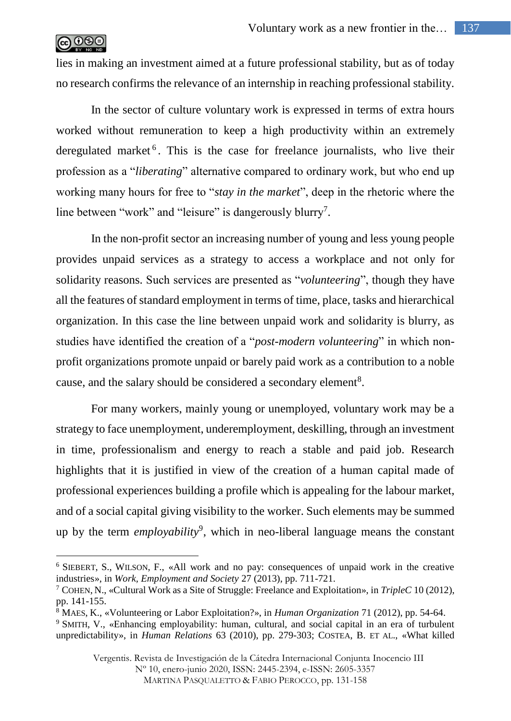

lies in making an investment aimed at a future professional stability, but as of today no research confirms the relevance of an internship in reaching professional stability.

In the sector of culture voluntary work is expressed in terms of extra hours worked without remuneration to keep a high productivity within an extremely deregulated market<sup>6</sup>. This is the case for freelance journalists, who live their profession as a "*liberating*" alternative compared to ordinary work, but who end up working many hours for free to "*stay in the market*", deep in the rhetoric where the line between "work" and "leisure" is dangerously blurry<sup>7</sup>.

In the non-profit sector an increasing number of young and less young people provides unpaid services as a strategy to access a workplace and not only for solidarity reasons. Such services are presented as "*volunteering*", though they have all the features of standard employment in terms of time, place, tasks and hierarchical organization. In this case the line between unpaid work and solidarity is blurry, as studies have identified the creation of a "*post-modern volunteering*" in which nonprofit organizations promote unpaid or barely paid work as a contribution to a noble cause, and the salary should be considered a secondary element<sup>8</sup>.

For many workers, mainly young or unemployed, voluntary work may be a strategy to face unemployment, underemployment, deskilling, through an investment in time, professionalism and energy to reach a stable and paid job. Research highlights that it is justified in view of the creation of a human capital made of professional experiences building a profile which is appealing for the labour market, and of a social capital giving visibility to the worker. Such elements may be summed up by the term *employability*<sup>9</sup> , which in neo-liberal language means the constant

Nº 10, enero-junio 2020, ISSN: 2445-2394, e-ISSN: 2605-3357

MARTINA PASQUALETTO & FABIO PEROCCO, pp. 131-158

<sup>6</sup> SIEBERT, S., WILSON, F., «All work and no pay: consequences of unpaid work in the creative industries», in *Work, Employment and Society* 27 (2013), pp. 711-721.

<sup>7</sup> COHEN, N., «Cultural Work as a Site of Struggle: Freelance and Exploitation», in *TripleC* 10 (2012), pp. 141-155.

<sup>8</sup> MAES, K., «Volunteering or Labor Exploitation?», in *Human Organization* 71 (2012), pp. 54-64.

<sup>9</sup> SMITH, V., «Enhancing employability: human, cultural, and social capital in an era of turbulent unpredictability», in *Human Relations* 63 (2010), pp. 279-303; COSTEA, B. ET AL., «What killed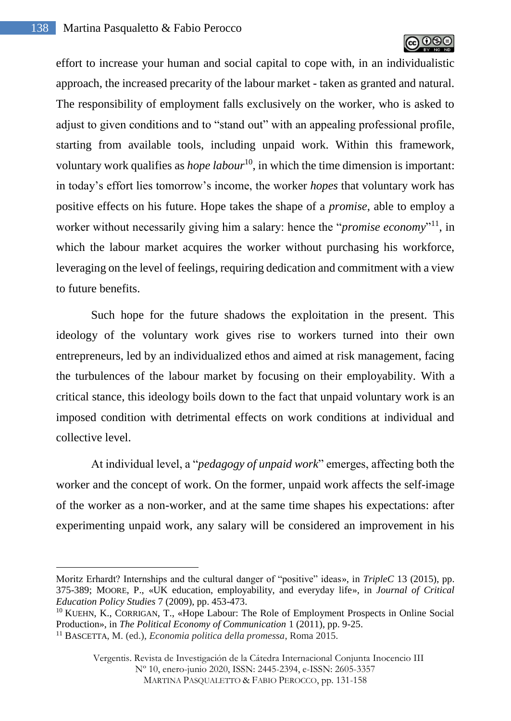

effort to increase your human and social capital to cope with, in an individualistic approach, the increased precarity of the labour market - taken as granted and natural. The responsibility of employment falls exclusively on the worker, who is asked to adjust to given conditions and to "stand out" with an appealing professional profile, starting from available tools, including unpaid work. Within this framework, voluntary work qualifies as *hope labour*<sup>10</sup>, in which the time dimension is important: in today's effort lies tomorrow's income, the worker *hopes* that voluntary work has positive effects on his future. Hope takes the shape of a *promise*, able to employ a worker without necessarily giving him a salary: hence the "*promise economy*"<sup>11</sup>, in which the labour market acquires the worker without purchasing his workforce, leveraging on the level of feelings, requiring dedication and commitment with a view to future benefits.

Such hope for the future shadows the exploitation in the present. This ideology of the voluntary work gives rise to workers turned into their own entrepreneurs, led by an individualized ethos and aimed at risk management, facing the turbulences of the labour market by focusing on their employability. With a critical stance, this ideology boils down to the fact that unpaid voluntary work is an imposed condition with detrimental effects on work conditions at individual and collective level.

At individual level, a "*pedagogy of unpaid work*" emerges, affecting both the worker and the concept of work. On the former, unpaid work affects the self-image of the worker as a non-worker, and at the same time shapes his expectations: after experimenting unpaid work, any salary will be considered an improvement in his

 $\overline{a}$ 

Vergentis. Revista de Investigación de la Cátedra Internacional Conjunta Inocencio III Nº 10, enero-junio 2020, ISSN: 2445-2394, e-ISSN: 2605-3357 MARTINA PASQUALETTO & FABIO PEROCCO, pp. 131-158

Moritz Erhardt? Internships and the cultural danger of "positive" ideas», in *TripleC* 13 (2015), pp. 375-389; MOORE, P., «UK education, employability, and everyday life», in *Journal of Critical Education Policy Studies* 7 (2009), pp. 453-473.

<sup>10</sup> KUEHN, K., CORRIGAN, T., «Hope Labour: The Role of Employment Prospects in Online Social Production», in *The Political Economy of Communication* 1 (2011), pp. 9-25.

<sup>11</sup> BASCETTA, M. (ed.), *Economia politica della promessa*, Roma 2015.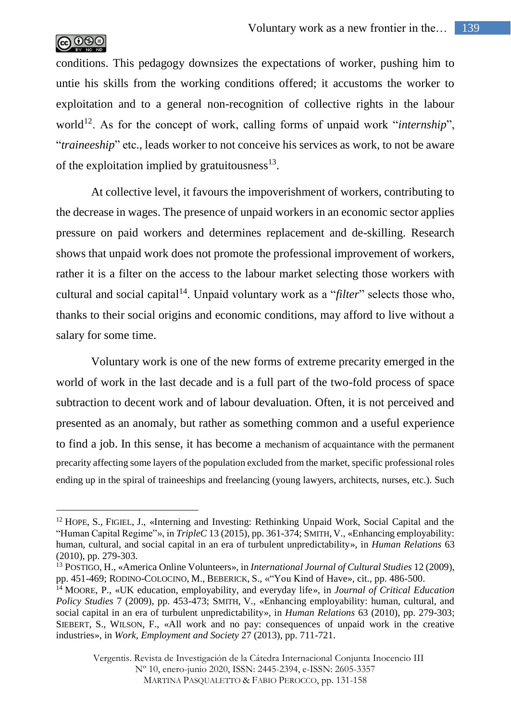

conditions. This pedagogy downsizes the expectations of worker, pushing him to untie his skills from the working conditions offered; it accustoms the worker to exploitation and to a general non-recognition of collective rights in the labour world<sup>12</sup>. As for the concept of work, calling forms of unpaid work "*internship*", "*traineeship*" etc., leads worker to not conceive his services as work, to not be aware of the exploitation implied by gratuitousness $^{13}$ .

At collective level, it favours the impoverishment of workers, contributing to the decrease in wages. The presence of unpaid workers in an economic sector applies pressure on paid workers and determines replacement and de-skilling. Research shows that unpaid work does not promote the professional improvement of workers, rather it is a filter on the access to the labour market selecting those workers with cultural and social capital<sup>14</sup>. Unpaid voluntary work as a "*filter*" selects those who, thanks to their social origins and economic conditions, may afford to live without a salary for some time.

Voluntary work is one of the new forms of extreme precarity emerged in the world of work in the last decade and is a full part of the two-fold process of space subtraction to decent work and of labour devaluation. Often, it is not perceived and presented as an anomaly, but rather as something common and a useful experience to find a job. In this sense, it has become a mechanism of acquaintance with the permanent precarity affecting some layers of the population excluded from the market, specific professional roles ending up in the spiral of traineeships and freelancing (young lawyers, architects, nurses, etc.). Such

 $12$  HOPE, S., FIGIEL, J., «Interning and Investing: Rethinking Unpaid Work, Social Capital and the "Human Capital Regime"», in *TripleC* 13 (2015), pp. 361-374; SMITH, V., «Enhancing employability: human, cultural, and social capital in an era of turbulent unpredictability», in *Human Relations* 63 (2010), pp. 279-303.

<sup>13</sup> POSTIGO, H., «America Online Volunteers», in *International Journal of Cultural Studies* 12 (2009), pp. 451-469; RODINO-COLOCINO, M., BEBERICK, S., «"You Kind of Have», cit., pp. 486-500.

<sup>14</sup> MOORE, P., «UK education, employability, and everyday life», in *Journal of Critical Education Policy Studies* 7 (2009), pp. 453-473; SMITH, V., «Enhancing employability: human, cultural, and social capital in an era of turbulent unpredictability», in *Human Relations* 63 (2010), pp. 279-303; SIEBERT, S., WILSON, F., «All work and no pay: consequences of unpaid work in the creative industries», in *Work, Employment and Society* 27 (2013), pp. 711-721.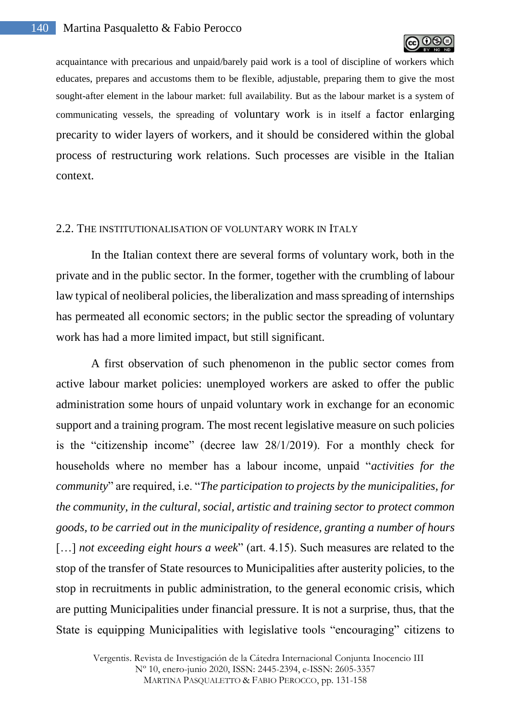

acquaintance with precarious and unpaid/barely paid work is a tool of discipline of workers which educates, prepares and accustoms them to be flexible, adjustable, preparing them to give the most sought-after element in the labour market: full availability. But as the labour market is a system of communicating vessels, the spreading of voluntary work is in itself a factor enlarging precarity to wider layers of workers, and it should be considered within the global process of restructuring work relations. Such processes are visible in the Italian context.

#### 2.2. THE INSTITUTIONALISATION OF VOLUNTARY WORK IN ITALY

In the Italian context there are several forms of voluntary work, both in the private and in the public sector. In the former, together with the crumbling of labour law typical of neoliberal policies, the liberalization and mass spreading of internships has permeated all economic sectors; in the public sector the spreading of voluntary work has had a more limited impact, but still significant.

A first observation of such phenomenon in the public sector comes from active labour market policies: unemployed workers are asked to offer the public administration some hours of unpaid voluntary work in exchange for an economic support and a training program. The most recent legislative measure on such policies is the "citizenship income" (decree law 28/1/2019). For a monthly check for households where no member has a labour income, unpaid "*activities for the community*" are required, i.e. "*The participation to projects by the municipalities, for the community, in the cultural, social, artistic and training sector to protect common goods, to be carried out in the municipality of residence, granting a number of hours*  [...] *not exceeding eight hours a week*" (art. 4.15). Such measures are related to the stop of the transfer of State resources to Municipalities after austerity policies, to the stop in recruitments in public administration, to the general economic crisis, which are putting Municipalities under financial pressure. It is not a surprise, thus, that the State is equipping Municipalities with legislative tools "encouraging" citizens to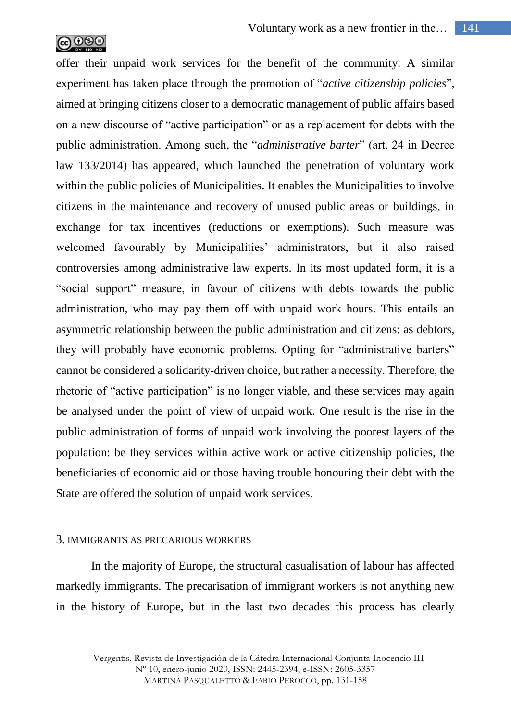

offer their unpaid work services for the benefit of the community. A similar experiment has taken place through the promotion of "*active citizenship policies*", aimed at bringing citizens closer to a democratic management of public affairs based on a new discourse of "active participation" or as a replacement for debts with the public administration. Among such, the "*administrative barter*" (art. 24 in Decree law 133/2014) has appeared, which launched the penetration of voluntary work within the public policies of Municipalities. It enables the Municipalities to involve citizens in the maintenance and recovery of unused public areas or buildings, in exchange for tax incentives (reductions or exemptions). Such measure was welcomed favourably by Municipalities' administrators, but it also raised controversies among administrative law experts. In its most updated form, it is a "social support" measure, in favour of citizens with debts towards the public administration, who may pay them off with unpaid work hours. This entails an asymmetric relationship between the public administration and citizens: as debtors, they will probably have economic problems. Opting for "administrative barters" cannot be considered a solidarity-driven choice, but rather a necessity. Therefore, the rhetoric of "active participation" is no longer viable, and these services may again be analysed under the point of view of unpaid work. One result is the rise in the public administration of forms of unpaid work involving the poorest layers of the population: be they services within active work or active citizenship policies, the beneficiaries of economic aid or those having trouble honouring their debt with the State are offered the solution of unpaid work services.

## 3. IMMIGRANTS AS PRECARIOUS WORKERS

In the majority of Europe, the structural casualisation of labour has affected markedly immigrants. The precarisation of immigrant workers is not anything new in the history of Europe, but in the last two decades this process has clearly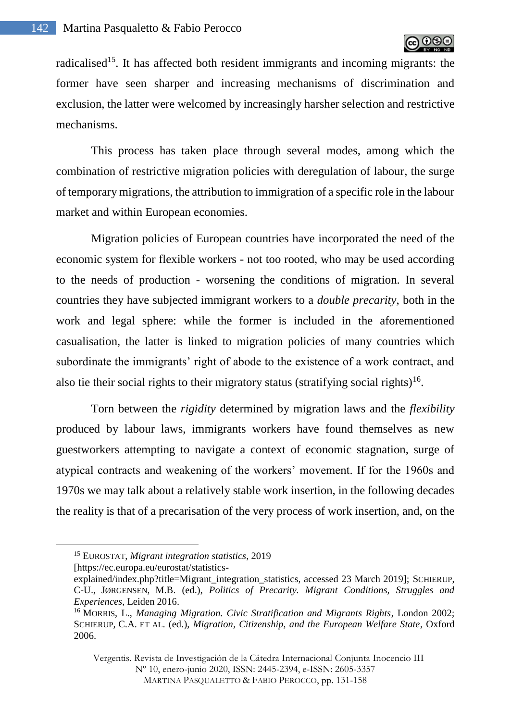radicalised<sup>15</sup>. It has affected both resident immigrants and incoming migrants: the former have seen sharper and increasing mechanisms of discrimination and exclusion, the latter were welcomed by increasingly harsher selection and restrictive mechanisms.

This process has taken place through several modes, among which the combination of restrictive migration policies with deregulation of labour, the surge of temporary migrations, the attribution to immigration of a specific role in the labour market and within European economies.

Migration policies of European countries have incorporated the need of the economic system for flexible workers - not too rooted, who may be used according to the needs of production - worsening the conditions of migration. In several countries they have subjected immigrant workers to a *double precarity*, both in the work and legal sphere: while the former is included in the aforementioned casualisation, the latter is linked to migration policies of many countries which subordinate the immigrants' right of abode to the existence of a work contract, and also tie their social rights to their migratory status (stratifying social rights)<sup>16</sup>.

Torn between the *rigidity* determined by migration laws and the *flexibility* produced by labour laws, immigrants workers have found themselves as new guestworkers attempting to navigate a context of economic stagnation, surge of atypical contracts and weakening of the workers' movement. If for the 1960s and 1970s we may talk about a relatively stable work insertion, in the following decades the reality is that of a precarisation of the very process of work insertion, and, on the

[https://ec.europa.eu/eurostat/statistics-

 $\overline{a}$ 

Vergentis. Revista de Investigación de la Cátedra Internacional Conjunta Inocencio III Nº 10, enero-junio 2020, ISSN: 2445-2394, e-ISSN: 2605-3357 MARTINA PASQUALETTO & FABIO PEROCCO, pp. 131-158

<sup>15</sup> EUROSTAT, *Migrant integration statistics*, 2019

explained/index.php?title=Migrant\_integration\_statistics, accessed 23 March 2019]; SCHIERUP, C-U., JØRGENSEN, M.B. (ed.), *Politics of Precarity. Migrant Conditions, Struggles and Experiences*, Leiden 2016.

<sup>16</sup> MORRIS, L., *Managing Migration. Civic Stratification and Migrants Rights*, London 2002; SCHIERUP, C.A. ET AL. (ed.), *Migration, Citizenship, and the European Welfare State*, Oxford 2006.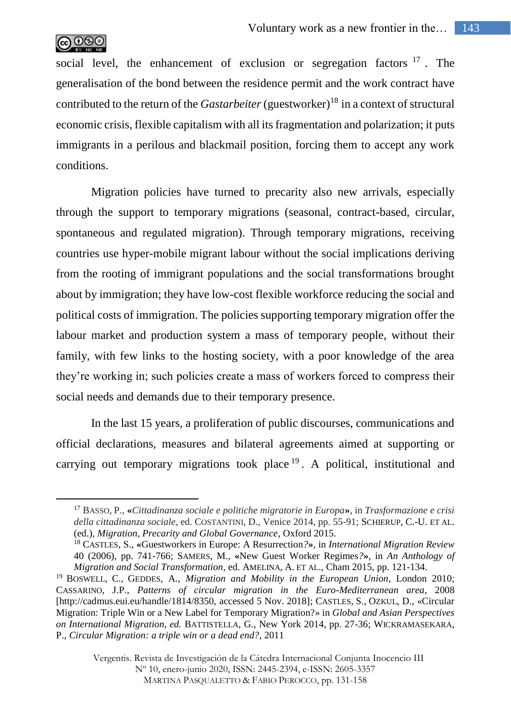

social level, the enhancement of exclusion or segregation factors  $17$ . The generalisation of the bond between the residence permit and the work contract have contributed to the return of the *Gastarbeiter* (guestworker)<sup>18</sup> in a context of structural economic crisis, flexible capitalism with all its fragmentation and polarization; it puts immigrants in a perilous and blackmail position, forcing them to accept any work conditions.

Migration policies have turned to precarity also new arrivals, especially through the support to temporary migrations (seasonal, contract-based, circular, spontaneous and regulated migration). Through temporary migrations, receiving countries use hyper-mobile migrant labour without the social implications deriving from the rooting of immigrant populations and the social transformations brought about by immigration; they have low-cost flexible workforce reducing the social and political costs of immigration. The policies supporting temporary migration offer the labour market and production system a mass of temporary people, without their family, with few links to the hosting society, with a poor knowledge of the area they're working in; such policies create a mass of workers forced to compress their social needs and demands due to their temporary presence.

In the last 15 years, a proliferation of public discourses, communications and official declarations, measures and bilateral agreements aimed at supporting or carrying out temporary migrations took place <sup>19</sup>. A political, institutional and

<sup>17</sup> BASSO, P., **«***Cittadinanza sociale e politiche migratorie in Europa***»**, in *Trasformazione e crisi della cittadinanza sociale*, ed. COSTANTINI, D., Venice 2014, pp. 55-91; SCHIERUP, C.-U. ET AL. (ed.), *Migration, Precarity and Global Governance*, Oxford 2015.

<sup>18</sup> CASTLES, S., **«**Guestworkers in Europe: A Resurrection*?***»**, in *International Migration Review* 40 (2006), pp. 741-766; SAMERS, M., **«**New Guest Worker Regimes*?***»**, in *An Anthology of Migration and Social Transformation*, ed. AMELINA, A. ET AL., Cham 2015, pp. 121-134.

<sup>19</sup> BOSWELL, C., GEDDES, A., *Migration and Mobility in the European Union*, London 2010; CASSARINO, J.P., *Patterns of circular migration in the Euro-Mediterranean area*, 2008 [http://cadmus.eui.eu/handle/1814/8350, accessed 5 Nov. 2018]; CASTLES, S., OZKUL, D., «Circular Migration: Triple Win or a New Label for Temporary Migration?» in *Global and Asian Perspectives on International Migration, ed.* BATTISTELLA, G., New York 2014, pp. 27-36; WICKRAMASEKARA, P., *Circular Migration: a triple win or a dead end?,* 2011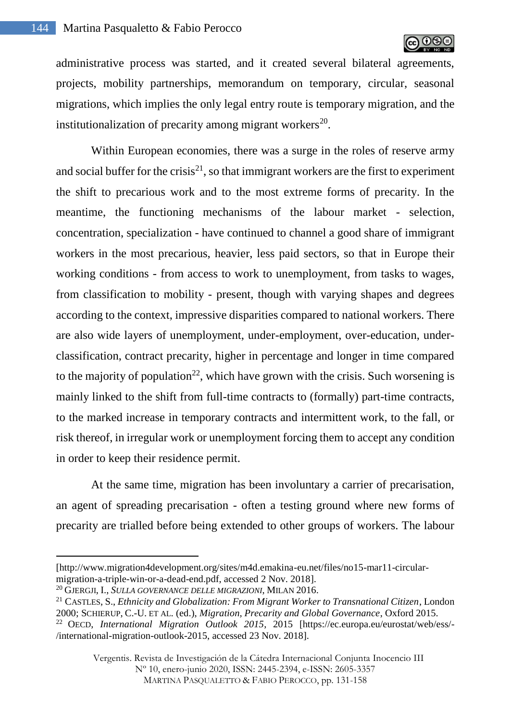

administrative process was started, and it created several bilateral agreements, projects, mobility partnerships, memorandum on temporary, circular, seasonal migrations, which implies the only legal entry route is temporary migration, and the institutionalization of precarity among migrant workers<sup>20</sup>.

Within European economies, there was a surge in the roles of reserve army and social buffer for the crisis<sup>21</sup>, so that immigrant workers are the first to experiment the shift to precarious work and to the most extreme forms of precarity. In the meantime, the functioning mechanisms of the labour market - selection, concentration, specialization - have continued to channel a good share of immigrant workers in the most precarious, heavier, less paid sectors, so that in Europe their working conditions - from access to work to unemployment, from tasks to wages, from classification to mobility - present, though with varying shapes and degrees according to the context, impressive disparities compared to national workers. There are also wide layers of unemployment, under-employment, over-education, underclassification, contract precarity, higher in percentage and longer in time compared to the majority of population<sup>22</sup>, which have grown with the crisis. Such worsening is mainly linked to the shift from full-time contracts to (formally) part-time contracts, to the marked increase in temporary contracts and intermittent work, to the fall, or risk thereof, in irregular work or unemployment forcing them to accept any condition in order to keep their residence permit.

At the same time, migration has been involuntary a carrier of precarisation, an agent of spreading precarisation - often a testing ground where new forms of precarity are trialled before being extended to other groups of workers. The labour

 $\overline{a}$ 

<sup>[</sup>http://www.migration4development.org/sites/m4d.emakina-eu.net/files/no15-mar11-circularmigration-a-triple-win-or-a-dead-end.pdf, accessed 2 Nov. 2018].

<sup>20</sup> GJERGJI, I., *SULLA GOVERNANCE DELLE MIGRAZIONI*, MILAN 2016.

<sup>21</sup> CASTLES, S., *Ethnicity and Globalization: From Migrant Worker to Transnational Citizen*, London 2000; SCHIERUP, C.-U. ET AL. (ed.), *Migration, Precarity and Global Governance*, Oxford 2015. <sup>22</sup> OECD, *International Migration Outlook 2015*, 2015 [https://ec.europa.eu/eurostat/web/ess/- /international-migration-outlook-2015, accessed 23 Nov. 2018].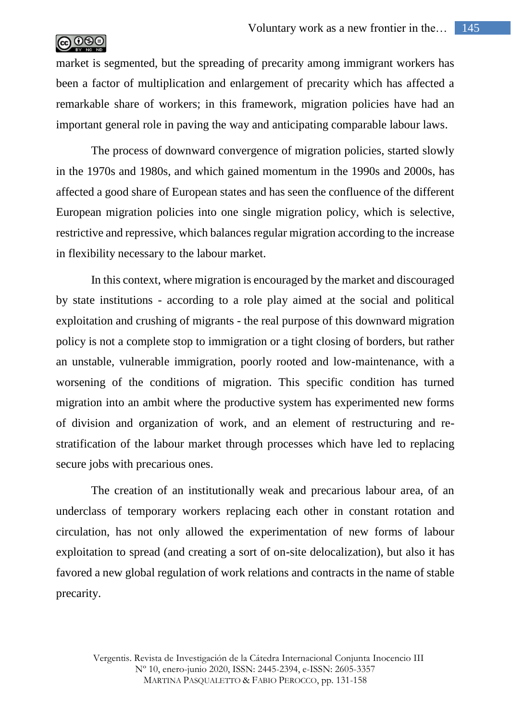

market is segmented, but the spreading of precarity among immigrant workers has been a factor of multiplication and enlargement of precarity which has affected a remarkable share of workers; in this framework, migration policies have had an important general role in paving the way and anticipating comparable labour laws.

The process of downward convergence of migration policies, started slowly in the 1970s and 1980s, and which gained momentum in the 1990s and 2000s, has affected a good share of European states and has seen the confluence of the different European migration policies into one single migration policy, which is selective, restrictive and repressive, which balances regular migration according to the increase in flexibility necessary to the labour market.

In this context, where migration is encouraged by the market and discouraged by state institutions - according to a role play aimed at the social and political exploitation and crushing of migrants - the real purpose of this downward migration policy is not a complete stop to immigration or a tight closing of borders, but rather an unstable, vulnerable immigration, poorly rooted and low-maintenance, with a worsening of the conditions of migration. This specific condition has turned migration into an ambit where the productive system has experimented new forms of division and organization of work, and an element of restructuring and restratification of the labour market through processes which have led to replacing secure jobs with precarious ones.

The creation of an institutionally weak and precarious labour area, of an underclass of temporary workers replacing each other in constant rotation and circulation, has not only allowed the experimentation of new forms of labour exploitation to spread (and creating a sort of on-site delocalization), but also it has favored a new global regulation of work relations and contracts in the name of stable precarity.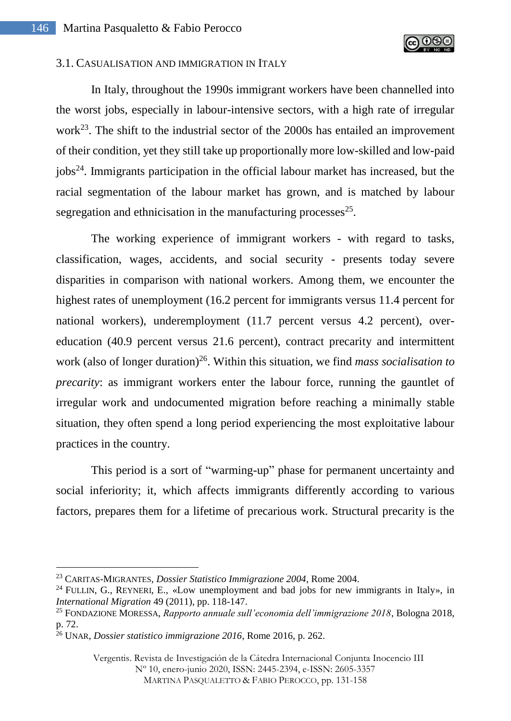

## 3.1. CASUALISATION AND IMMIGRATION IN ITALY

In Italy, throughout the 1990s immigrant workers have been channelled into the worst jobs, especially in labour-intensive sectors, with a high rate of irregular work<sup>23</sup>. The shift to the industrial sector of the 2000s has entailed an improvement of their condition, yet they still take up proportionally more low-skilled and low-paid jobs<sup>24</sup>. Immigrants participation in the official labour market has increased, but the racial segmentation of the labour market has grown, and is matched by labour segregation and ethnicisation in the manufacturing processes $25$ .

The working experience of immigrant workers - with regard to tasks, classification, wages, accidents, and social security - presents today severe disparities in comparison with national workers. Among them, we encounter the highest rates of unemployment (16.2 percent for immigrants versus 11.4 percent for national workers), underemployment (11.7 percent versus 4.2 percent), overeducation (40.9 percent versus 21.6 percent), contract precarity and intermittent work (also of longer duration)<sup>26</sup>. Within this situation, we find *mass socialisation to precarity*: as immigrant workers enter the labour force, running the gauntlet of irregular work and undocumented migration before reaching a minimally stable situation, they often spend a long period experiencing the most exploitative labour practices in the country.

This period is a sort of "warming-up" phase for permanent uncertainty and social inferiority; it, which affects immigrants differently according to various factors, prepares them for a lifetime of precarious work. Structural precarity is the

 $\overline{a}$ 

<sup>23</sup> CARITAS-MIGRANTES, *Dossier Statistico Immigrazione 2004*, Rome 2004.

<sup>&</sup>lt;sup>24</sup> FULLIN, G., REYNERI, E., «Low unemployment and bad jobs for new immigrants in Italy», in *International Migration* 49 (2011), pp. 118-147.

<sup>25</sup> FONDAZIONE MORESSA, *Rapporto annuale sull'economia dell'immigrazione 2018*, Bologna 2018, p. 72.

<sup>26</sup> UNAR, *Dossier statistico immigrazione 2016*, Rome 2016, p. 262.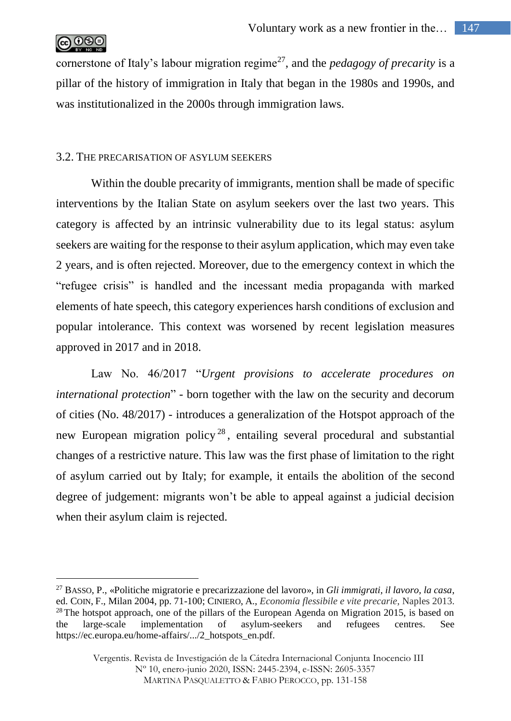

cornerstone of Italy's labour migration regime<sup>27</sup>, and the *pedagogy of precarity* is a pillar of the history of immigration in Italy that began in the 1980s and 1990s, and was institutionalized in the 2000s through immigration laws.

## 3.2. THE PRECARISATION OF ASYLUM SEEKERS

Within the double precarity of immigrants, mention shall be made of specific interventions by the Italian State on asylum seekers over the last two years. This category is affected by an intrinsic vulnerability due to its legal status: asylum seekers are waiting for the response to their asylum application, which may even take 2 years, and is often rejected. Moreover, due to the emergency context in which the "refugee crisis" is handled and the incessant media propaganda with marked elements of hate speech, this category experiences harsh conditions of exclusion and popular intolerance. This context was worsened by recent legislation measures approved in 2017 and in 2018.

Law No. 46/2017 "*Urgent provisions to accelerate procedures on international protection*" - born together with the law on the security and decorum of cities (No. 48/2017) - introduces a generalization of the Hotspot approach of the new European migration policy <sup>28</sup> , entailing several procedural and substantial changes of a restrictive nature. This law was the first phase of limitation to the right of asylum carried out by Italy; for example, it entails the abolition of the second degree of judgement: migrants won't be able to appeal against a judicial decision when their asylum claim is rejected.

<sup>27</sup> BASSO, P., «Politiche migratorie e precarizzazione del lavoro», in *Gli immigrati, il lavoro, la casa*, ed. COIN, F., Milan 2004, pp. 71-100; CINIERO, A., *Economia flessibile e vite precarie*, Naples 2013. <sup>28</sup> The hotspot approach, one of the pillars of the European Agenda on Migration 2015, is based on the large-scale implementation of asylum-seekers and refugees centres. See https://ec.europa.eu/home-affairs/.../2\_hotspots\_en.pdf.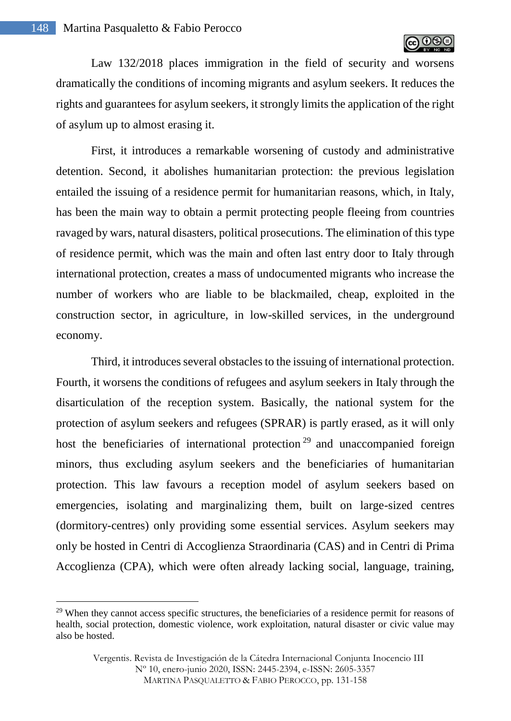Law 132/2018 places immigration in the field of security and worsens dramatically the conditions of incoming migrants and asylum seekers. It reduces the rights and guarantees for asylum seekers, it strongly limits the application of the right of asylum up to almost erasing it.

First, it introduces a remarkable worsening of custody and administrative detention. Second, it abolishes humanitarian protection: the previous legislation entailed the issuing of a residence permit for humanitarian reasons, which, in Italy, has been the main way to obtain a permit protecting people fleeing from countries ravaged by wars, natural disasters, political prosecutions. The elimination of this type of residence permit, which was the main and often last entry door to Italy through international protection, creates a mass of undocumented migrants who increase the number of workers who are liable to be blackmailed, cheap, exploited in the construction sector, in agriculture, in low-skilled services, in the underground economy.

Third, it introduces several obstacles to the issuing of international protection. Fourth, it worsens the conditions of refugees and asylum seekers in Italy through the disarticulation of the reception system. Basically, the national system for the protection of asylum seekers and refugees (SPRAR) is partly erased, as it will only host the beneficiaries of international protection<sup>29</sup> and unaccompanied foreign minors, thus excluding asylum seekers and the beneficiaries of humanitarian protection. This law favours a reception model of asylum seekers based on emergencies, isolating and marginalizing them, built on large-sized centres (dormitory-centres) only providing some essential services. Asylum seekers may only be hosted in Centri di Accoglienza Straordinaria (CAS) and in Centri di Prima Accoglienza (CPA), which were often already lacking social, language, training,

 $29$  When they cannot access specific structures, the beneficiaries of a residence permit for reasons of health, social protection, domestic violence, work exploitation, natural disaster or civic value may also be hosted.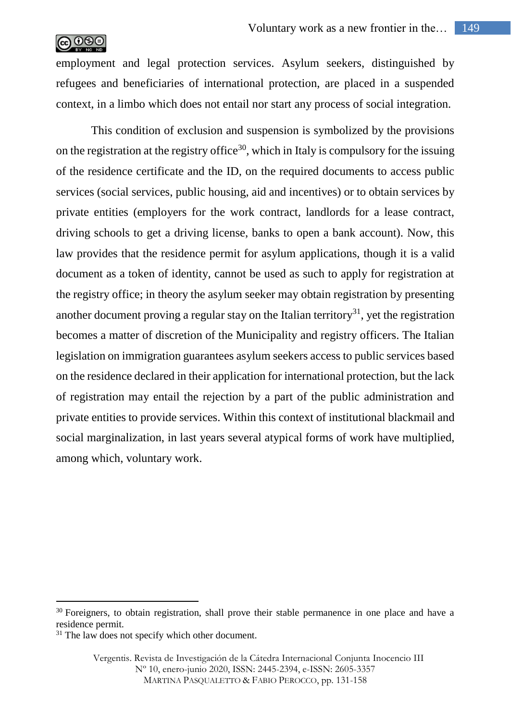

employment and legal protection services. Asylum seekers, distinguished by refugees and beneficiaries of international protection, are placed in a suspended context, in a limbo which does not entail nor start any process of social integration.

This condition of exclusion and suspension is symbolized by the provisions on the registration at the registry office<sup>30</sup>, which in Italy is compulsory for the issuing of the residence certificate and the ID, on the required documents to access public services (social services, public housing, aid and incentives) or to obtain services by private entities (employers for the work contract, landlords for a lease contract, driving schools to get a driving license, banks to open a bank account). Now, this law provides that the residence permit for asylum applications, though it is a valid document as a token of identity, cannot be used as such to apply for registration at the registry office; in theory the asylum seeker may obtain registration by presenting another document proving a regular stay on the Italian territory<sup>31</sup>, yet the registration becomes a matter of discretion of the Municipality and registry officers. The Italian legislation on immigration guarantees asylum seekers access to public services based on the residence declared in their application for international protection, but the lack of registration may entail the rejection by a part of the public administration and private entities to provide services. Within this context of institutional blackmail and social marginalization, in last years several atypical forms of work have multiplied, among which, voluntary work.

 $\overline{a}$ 

<sup>&</sup>lt;sup>30</sup> Foreigners, to obtain registration, shall prove their stable permanence in one place and have a residence permit.

 $31$  The law does not specify which other document.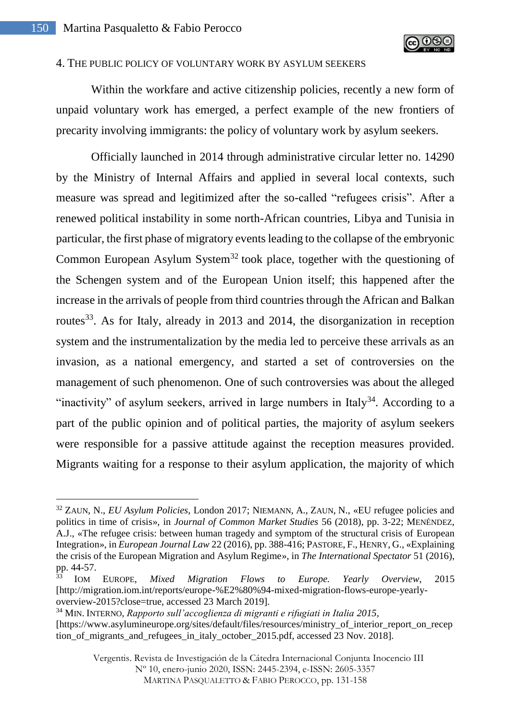

### 4. THE PUBLIC POLICY OF VOLUNTARY WORK BY ASYLUM SEEKERS

Within the workfare and active citizenship policies, recently a new form of unpaid voluntary work has emerged, a perfect example of the new frontiers of precarity involving immigrants: the policy of voluntary work by asylum seekers.

Officially launched in 2014 through administrative circular letter no. 14290 by the Ministry of Internal Affairs and applied in several local contexts, such measure was spread and legitimized after the so-called "refugees crisis". After a renewed political instability in some north-African countries, Libya and Tunisia in particular, the first phase of migratory events leading to the collapse of the embryonic Common European Asylum System<sup>32</sup> took place, together with the questioning of the Schengen system and of the European Union itself; this happened after the increase in the arrivals of people from third countries through the African and Balkan routes<sup>33</sup>. As for Italy, already in 2013 and 2014, the disorganization in reception system and the instrumentalization by the media led to perceive these arrivals as an invasion, as a national emergency, and started a set of controversies on the management of such phenomenon. One of such controversies was about the alleged "inactivity" of asylum seekers, arrived in large numbers in Italy<sup>34</sup>. According to a part of the public opinion and of political parties, the majority of asylum seekers were responsible for a passive attitude against the reception measures provided. Migrants waiting for a response to their asylum application, the majority of which

<sup>32</sup> ZAUN, N., *EU Asylum Policies*, London 2017; NIEMANN, A., ZAUN, N., «EU refugee policies and politics in time of crisis», in *Journal of Common Market Studies* 56 (2018), pp. 3-22; MENÉNDEZ, A.J., «The refugee crisis: between human tragedy and symptom of the structural crisis of European Integration», in *European Journal Law* 22 (2016), pp. 388-416; PASTORE, F., HENRY, G., «Explaining the crisis of the European Migration and Asylum Regime», in *The International Spectator* 51 (2016), pp. 44-57.

<sup>33</sup> IOM EUROPE, *Mixed Migration Flows to Europe. Yearly Overview*, 2015 [http://migration.iom.int/reports/europe-%E2%80%94-mixed-migration-flows-europe-yearlyoverview-2015?close=true, accessed 23 March 2019].

<sup>34</sup> MIN. INTERNO, *Rapporto sull'accoglienza di migranti e rifugiati in Italia 2015*, [https://www.asylumineurope.org/sites/default/files/resources/ministry\_of\_interior\_report\_on\_recep tion\_of\_migrants\_and\_refugees\_in\_italy\_october\_2015.pdf, accessed 23 Nov. 2018].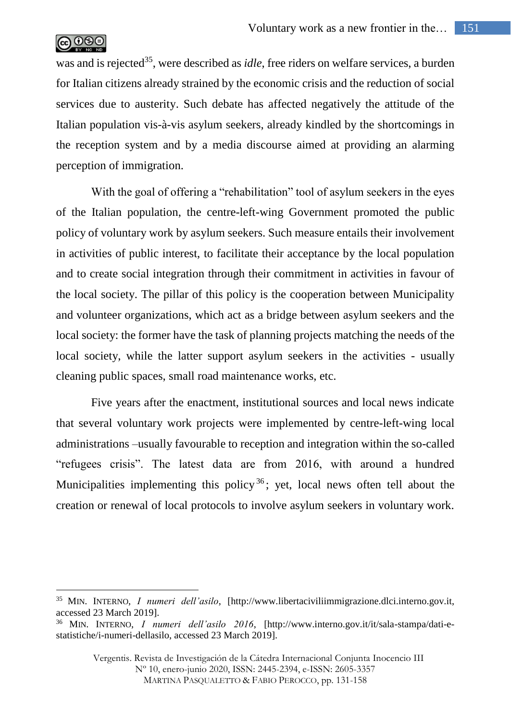

was and is rejected<sup>35</sup>, were described as *idle*, free riders on welfare services, a burden for Italian citizens already strained by the economic crisis and the reduction of social services due to austerity. Such debate has affected negatively the attitude of the Italian population vis-à-vis asylum seekers, already kindled by the shortcomings in the reception system and by a media discourse aimed at providing an alarming perception of immigration.

With the goal of offering a "rehabilitation" tool of asylum seekers in the eyes of the Italian population, the centre-left-wing Government promoted the public policy of voluntary work by asylum seekers. Such measure entails their involvement in activities of public interest, to facilitate their acceptance by the local population and to create social integration through their commitment in activities in favour of the local society. The pillar of this policy is the cooperation between Municipality and volunteer organizations, which act as a bridge between asylum seekers and the local society: the former have the task of planning projects matching the needs of the local society, while the latter support asylum seekers in the activities - usually cleaning public spaces, small road maintenance works, etc.

Five years after the enactment, institutional sources and local news indicate that several voluntary work projects were implemented by centre-left-wing local administrations –usually favourable to reception and integration within the so-called "refugees crisis". The latest data are from 2016, with around a hundred Municipalities implementing this policy<sup>36</sup>; yet, local news often tell about the creation or renewal of local protocols to involve asylum seekers in voluntary work.

<sup>35</sup> MIN. INTERNO, *I numeri dell'asilo*, [http://www.libertaciviliimmigrazione.dlci.interno.gov.it, accessed 23 March 2019].

<sup>36</sup> MIN. INTERNO, *I numeri dell'asilo 2016*, [http://www.interno.gov.it/it/sala-stampa/dati-estatistiche/i-numeri-dellasilo, accessed 23 March 2019].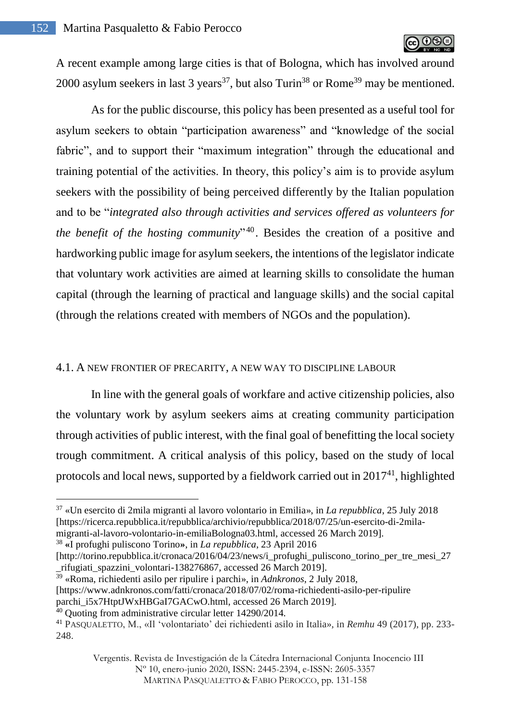

A recent example among large cities is that of Bologna, which has involved around 2000 asylum seekers in last 3 years<sup>37</sup>, but also Turin<sup>38</sup> or Rome<sup>39</sup> may be mentioned.

As for the public discourse, this policy has been presented as a useful tool for asylum seekers to obtain "participation awareness" and "knowledge of the social fabric", and to support their "maximum integration" through the educational and training potential of the activities. In theory, this policy's aim is to provide asylum seekers with the possibility of being perceived differently by the Italian population and to be "*integrated also through activities and services offered as volunteers for the benefit of the hosting community*" <sup>40</sup> . Besides the creation of a positive and hardworking public image for asylum seekers, the intentions of the legislator indicate that voluntary work activities are aimed at learning skills to consolidate the human capital (through the learning of practical and language skills) and the social capital (through the relations created with members of NGOs and the population).

#### 4.1. A NEW FRONTIER OF PRECARITY, A NEW WAY TO DISCIPLINE LABOUR

In line with the general goals of workfare and active citizenship policies, also the voluntary work by asylum seekers aims at creating community participation through activities of public interest, with the final goal of benefitting the local society trough commitment. A critical analysis of this policy, based on the study of local protocols and local news, supported by a fieldwork carried out in  $2017<sup>41</sup>$ , highlighted

 $\overline{a}$ 

<sup>39</sup> «Roma, richiedenti asilo per ripulire i parchi», in *Adnkronos*, 2 July 2018,

[https://www.adnkronos.com/fatti/cronaca/2018/07/02/roma-richiedenti-asilo-per-ripulire parchi\_i5x7HtptJWxHBGaI7GACwO.html, accessed 26 March 2019].

<sup>40</sup> Quoting from administrative circular letter 14290/2014.

<sup>37</sup> «Un esercito di 2mila migranti al lavoro volontario in Emilia», in *La repubblica*, 25 July 2018 [https://ricerca.repubblica.it/repubblica/archivio/repubblica/2018/07/25/un-esercito-di-2milamigranti-al-lavoro-volontario-in-emiliaBologna03.html, accessed 26 March 2019].

<sup>38</sup> **«**I profughi puliscono Torino**»**, in *La repubblica*, 23 April 2016

<sup>[</sup>http://torino.repubblica.it/cronaca/2016/04/23/news/i\_profughi\_puliscono\_torino\_per\_tre\_mesi\_27 \_rifugiati\_spazzini\_volontari-138276867, accessed 26 March 2019].

<sup>41</sup> PASQUALETTO, M., «Il 'volontariato' dei richiedenti asilo in Italia», in *Remhu* 49 (2017), pp. 233- 248.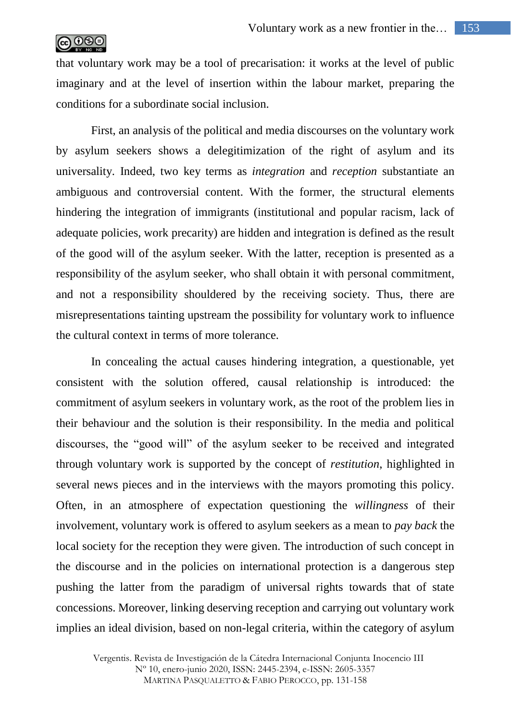

that voluntary work may be a tool of precarisation: it works at the level of public imaginary and at the level of insertion within the labour market, preparing the conditions for a subordinate social inclusion.

First, an analysis of the political and media discourses on the voluntary work by asylum seekers shows a delegitimization of the right of asylum and its universality. Indeed, two key terms as *integration* and *reception* substantiate an ambiguous and controversial content. With the former, the structural elements hindering the integration of immigrants (institutional and popular racism, lack of adequate policies, work precarity) are hidden and integration is defined as the result of the good will of the asylum seeker. With the latter, reception is presented as a responsibility of the asylum seeker, who shall obtain it with personal commitment, and not a responsibility shouldered by the receiving society. Thus, there are misrepresentations tainting upstream the possibility for voluntary work to influence the cultural context in terms of more tolerance.

In concealing the actual causes hindering integration, a questionable, yet consistent with the solution offered, causal relationship is introduced: the commitment of asylum seekers in voluntary work, as the root of the problem lies in their behaviour and the solution is their responsibility. In the media and political discourses, the "good will" of the asylum seeker to be received and integrated through voluntary work is supported by the concept of *restitution*, highlighted in several news pieces and in the interviews with the mayors promoting this policy. Often, in an atmosphere of expectation questioning the *willingness* of their involvement, voluntary work is offered to asylum seekers as a mean to *pay back* the local society for the reception they were given. The introduction of such concept in the discourse and in the policies on international protection is a dangerous step pushing the latter from the paradigm of universal rights towards that of state concessions. Moreover, linking deserving reception and carrying out voluntary work implies an ideal division, based on non-legal criteria, within the category of asylum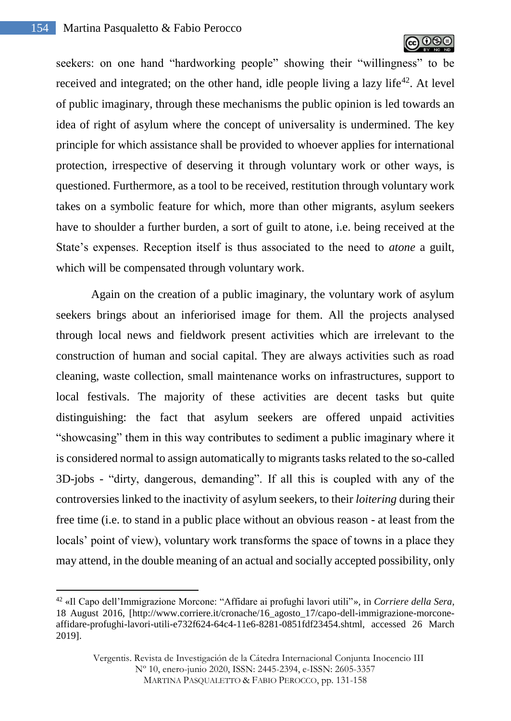

seekers: on one hand "hardworking people" showing their "willingness" to be received and integrated; on the other hand, idle people living a lazy life<sup>42</sup>. At level of public imaginary, through these mechanisms the public opinion is led towards an idea of right of asylum where the concept of universality is undermined. The key principle for which assistance shall be provided to whoever applies for international protection, irrespective of deserving it through voluntary work or other ways, is questioned. Furthermore, as a tool to be received, restitution through voluntary work takes on a symbolic feature for which, more than other migrants, asylum seekers have to shoulder a further burden, a sort of guilt to atone, i.e. being received at the State's expenses. Reception itself is thus associated to the need to *atone* a guilt, which will be compensated through voluntary work.

Again on the creation of a public imaginary, the voluntary work of asylum seekers brings about an inferiorised image for them. All the projects analysed through local news and fieldwork present activities which are irrelevant to the construction of human and social capital. They are always activities such as road cleaning, waste collection, small maintenance works on infrastructures, support to local festivals. The majority of these activities are decent tasks but quite distinguishing: the fact that asylum seekers are offered unpaid activities "showcasing" them in this way contributes to sediment a public imaginary where it is considered normal to assign automatically to migrants tasks related to the so-called 3D-jobs - "dirty, dangerous, demanding". If all this is coupled with any of the controversies linked to the inactivity of asylum seekers, to their *loitering* during their free time (i.e. to stand in a public place without an obvious reason - at least from the locals' point of view), voluntary work transforms the space of towns in a place they may attend, in the double meaning of an actual and socially accepted possibility, only

<sup>42</sup> «Il Capo dell'Immigrazione Morcone: "Affidare ai profughi lavori utili"», in *Corriere della Sera*, 18 August 2016, [http://www.corriere.it/cronache/16\_agosto\_17/capo-dell-immigrazione-morconeaffidare-profughi-lavori-utili-e732f624-64c4-11e6-8281-0851fdf23454.shtml, accessed 26 March 2019].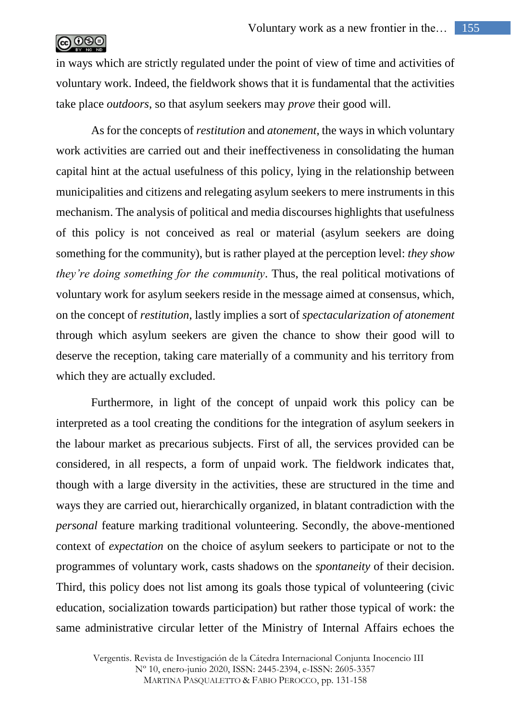

in ways which are strictly regulated under the point of view of time and activities of voluntary work. Indeed, the fieldwork shows that it is fundamental that the activities take place *outdoors*, so that asylum seekers may *prove* their good will.

As for the concepts of *restitution* and *atonement*, the ways in which voluntary work activities are carried out and their ineffectiveness in consolidating the human capital hint at the actual usefulness of this policy, lying in the relationship between municipalities and citizens and relegating asylum seekers to mere instruments in this mechanism. The analysis of political and media discourses highlights that usefulness of this policy is not conceived as real or material (asylum seekers are doing something for the community), but is rather played at the perception level: *they show they're doing something for the community*. Thus, the real political motivations of voluntary work for asylum seekers reside in the message aimed at consensus, which, on the concept of *restitution*, lastly implies a sort of *spectacularization of atonement* through which asylum seekers are given the chance to show their good will to deserve the reception, taking care materially of a community and his territory from which they are actually excluded.

Furthermore, in light of the concept of unpaid work this policy can be interpreted as a tool creating the conditions for the integration of asylum seekers in the labour market as precarious subjects. First of all, the services provided can be considered, in all respects, a form of unpaid work. The fieldwork indicates that, though with a large diversity in the activities, these are structured in the time and ways they are carried out, hierarchically organized, in blatant contradiction with the *personal* feature marking traditional volunteering. Secondly, the above-mentioned context of *expectation* on the choice of asylum seekers to participate or not to the programmes of voluntary work, casts shadows on the *spontaneity* of their decision. Third, this policy does not list among its goals those typical of volunteering (civic education, socialization towards participation) but rather those typical of work: the same administrative circular letter of the Ministry of Internal Affairs echoes the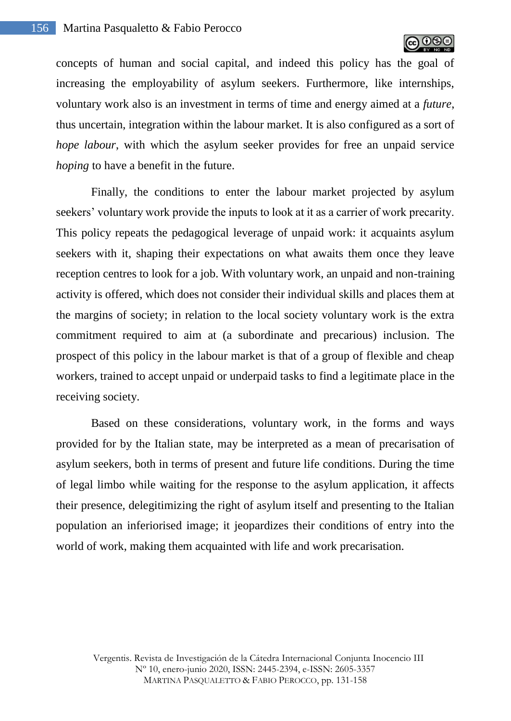

concepts of human and social capital, and indeed this policy has the goal of increasing the employability of asylum seekers. Furthermore, like internships, voluntary work also is an investment in terms of time and energy aimed at a *future*, thus uncertain, integration within the labour market. It is also configured as a sort of *hope labour*, with which the asylum seeker provides for free an unpaid service *hoping* to have a benefit in the future.

Finally, the conditions to enter the labour market projected by asylum seekers' voluntary work provide the inputs to look at it as a carrier of work precarity. This policy repeats the pedagogical leverage of unpaid work: it acquaints asylum seekers with it, shaping their expectations on what awaits them once they leave reception centres to look for a job. With voluntary work, an unpaid and non-training activity is offered, which does not consider their individual skills and places them at the margins of society; in relation to the local society voluntary work is the extra commitment required to aim at (a subordinate and precarious) inclusion. The prospect of this policy in the labour market is that of a group of flexible and cheap workers, trained to accept unpaid or underpaid tasks to find a legitimate place in the receiving society.

Based on these considerations, voluntary work, in the forms and ways provided for by the Italian state, may be interpreted as a mean of precarisation of asylum seekers, both in terms of present and future life conditions. During the time of legal limbo while waiting for the response to the asylum application, it affects their presence, delegitimizing the right of asylum itself and presenting to the Italian population an inferiorised image; it jeopardizes their conditions of entry into the world of work, making them acquainted with life and work precarisation.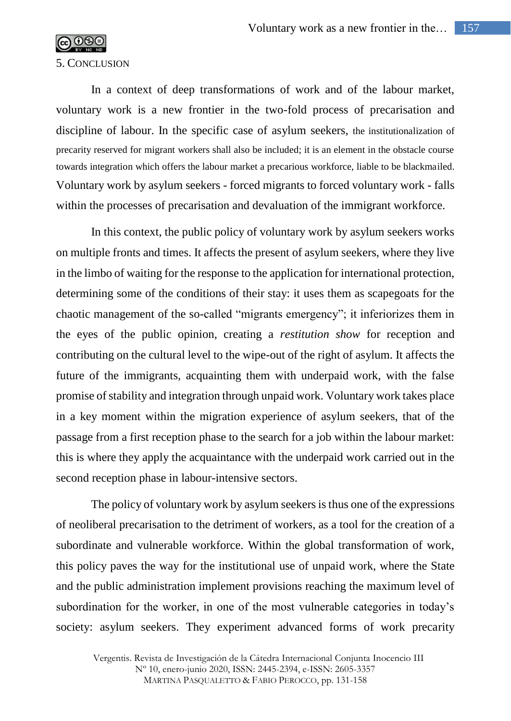

#### 5. CONCLUSION

In a context of deep transformations of work and of the labour market, voluntary work is a new frontier in the two-fold process of precarisation and discipline of labour. In the specific case of asylum seekers, the institutionalization of precarity reserved for migrant workers shall also be included; it is an element in the obstacle course towards integration which offers the labour market a precarious workforce, liable to be blackmailed. Voluntary work by asylum seekers - forced migrants to forced voluntary work - falls within the processes of precarisation and devaluation of the immigrant workforce.

In this context, the public policy of voluntary work by asylum seekers works on multiple fronts and times. It affects the present of asylum seekers, where they live in the limbo of waiting for the response to the application for international protection, determining some of the conditions of their stay: it uses them as scapegoats for the chaotic management of the so-called "migrants emergency"; it inferiorizes them in the eyes of the public opinion, creating a *restitution show* for reception and contributing on the cultural level to the wipe-out of the right of asylum. It affects the future of the immigrants, acquainting them with underpaid work, with the false promise of stability and integration through unpaid work. Voluntary work takes place in a key moment within the migration experience of asylum seekers, that of the passage from a first reception phase to the search for a job within the labour market: this is where they apply the acquaintance with the underpaid work carried out in the second reception phase in labour-intensive sectors.

The policy of voluntary work by asylum seekers is thus one of the expressions of neoliberal precarisation to the detriment of workers, as a tool for the creation of a subordinate and vulnerable workforce. Within the global transformation of work, this policy paves the way for the institutional use of unpaid work, where the State and the public administration implement provisions reaching the maximum level of subordination for the worker, in one of the most vulnerable categories in today's society: asylum seekers. They experiment advanced forms of work precarity